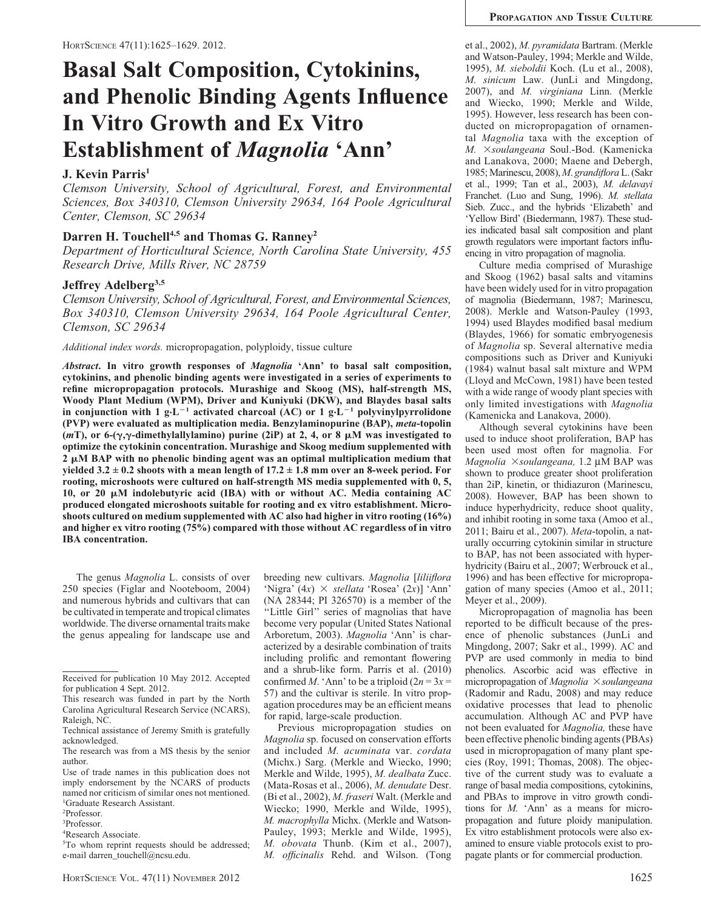# Basal Salt Composition, Cytokinins, and Phenolic Binding Agents Influence In Vitro Growth and Ex Vitro Establishment of Magnolia 'Ann'

## J. Kevin Parris<sup>1</sup>

Clemson University, School of Agricultural, Forest, and Environmental Sciences, Box 340310, Clemson University 29634, 164 Poole Agricultural Center, Clemson, SC 29634

## Darren H. Touchell<sup>4,5</sup> and Thomas G. Ranney<sup>2</sup>

Department of Horticultural Science, North Carolina State University, 455 Research Drive, Mills River, NC 28759

## Jeffrey Adelberg<sup>3,5</sup>

Clemson University, School of Agricultural, Forest, and Environmental Sciences, Box 340310, Clemson University 29634, 164 Poole Agricultural Center, Clemson, SC 29634

Additional index words. micropropagation, polyploidy, tissue culture

Abstract. In vitro growth responses of Magnolia 'Ann' to basal salt composition, cytokinins, and phenolic binding agents were investigated in a series of experiments to refine micropropagation protocols. Murashige and Skoog (MS), half-strength MS, Woody Plant Medium (WPM), Driver and Kuniyuki (DKW), and Blaydes basal salts in conjunction with 1 g·L<sup>-1</sup> activated charcoal (AC) or 1 g·L<sup>-1</sup> polyvinylpyrrolidone (PVP) were evaluated as multiplication media. Benzylaminopurine (BAP), meta-topolin (*mT*), or 6-( $\gamma$ , $\gamma$ -dimethylallylamino) purine (2iP) at 2, 4, or 8  $\mu$ M was investigated to optimize the cytokinin concentration. Murashige and Skoog medium supplemented with  $2 \mu M$  BAP with no phenolic binding agent was an optimal multiplication medium that yielded  $3.2 \pm 0.2$  shoots with a mean length of  $17.2 \pm 1.8$  mm over an 8-week period. For rooting, microshoots were cultured on half-strength MS media supplemented with 0, 5, 10, or 20  $\mu$ M indolebutyric acid (IBA) with or without AC. Media containing AC produced elongated microshoots suitable for rooting and ex vitro establishment. Microshoots cultured on medium supplemented with AC also had higher in vitro rooting (16%) and higher ex vitro rooting (75%) compared with those without AC regardless of in vitro IBA concentration.

The genus Magnolia L. consists of over 250 species (Figlar and Nooteboom, 2004) and numerous hybrids and cultivars that can be cultivated in temperate and tropical climates worldwide. The diverse ornamental traits make the genus appealing for landscape use and breeding new cultivars. Magnolia [liliiflora 'Nigra'  $(4x) \times$  stellata 'Rosea'  $(2x)$ ] 'Ann' (NA 28344; PI 326570) is a member of the "Little Girl" series of magnolias that have become very popular (United States National Arboretum, 2003). Magnolia 'Ann' is characterized by a desirable combination of traits including prolific and remontant flowering and a shrub-like form. Parris et al. (2010) confirmed M. 'Ann' to be a triploid  $(2n = 3x)$ 57) and the cultivar is sterile. In vitro propagation procedures may be an efficient means for rapid, large-scale production.

Previous micropropagation studies on Magnolia sp. focused on conservation efforts and included M. acuminata var. cordata (Michx.) Sarg. (Merkle and Wiecko, 1990; Merkle and Wilde, 1995), M. dealbata Zucc. (Mata-Rosas et al., 2006), M. denudate Desr. (Bi et al., 2002), M. fraseri Walt. (Merkle and Wiecko; 1990, Merkle and Wilde, 1995), M. macrophylla Michx. (Merkle and Watson-Pauley, 1993; Merkle and Wilde, 1995), M. obovata Thunb. (Kim et al., 2007), M. officinalis Rehd. and Wilson. (Tong et al., 2002), M. pyramidata Bartram. (Merkle and Watson-Pauley, 1994; Merkle and Wilde, 1995), M. sieboldii Koch. (Lu et al., 2008), M. sinicum Law. (JunLi and Mingdong, 2007), and M. virginiana Linn. (Merkle and Wiecko, 1990; Merkle and Wilde, 1995). However, less research has been conducted on micropropagation of ornamental Magnolia taxa with the exception of M. ×soulangeana Soul.-Bod. (Kamenicka and Lanakova, 2000; Maene and Debergh, 1985; Marinescu, 2008), M. grandifloraL. (Sakr et al., 1999; Tan et al., 2003), M. delavayi Franchet. (Luo and Sung, 1996). M. stellata Sieb. Zucc., and the hybrids 'Elizabeth' and 'Yellow Bird' (Biedermann, 1987). These studies indicated basal salt composition and plant growth regulators were important factors influencing in vitro propagation of magnolia.

Culture media comprised of Murashige and Skoog (1962) basal salts and vitamins have been widely used for in vitro propagation of magnolia (Biedermann, 1987; Marinescu, 2008). Merkle and Watson-Pauley (1993, 1994) used Blaydes modified basal medium (Blaydes, 1966) for somatic embryogenesis of Magnolia sp. Several alternative media compositions such as Driver and Kuniyuki (1984) walnut basal salt mixture and WPM (Lloyd and McCown, 1981) have been tested with a wide range of woody plant species with only limited investigations with Magnolia (Kamenicka and Lanakova, 2000).

Although several cytokinins have been used to induce shoot proliferation, BAP has been used most often for magnolia. For Magnolia  $\times$ soulangeana, 1.2 µM BAP was shown to produce greater shoot proliferation than 2iP, kinetin, or thidiazuron (Marinescu, 2008). However, BAP has been shown to induce hyperhydricity, reduce shoot quality, and inhibit rooting in some taxa (Amoo et al., 2011; Bairu et al., 2007). Meta-topolin, a naturally occurring cytokinin similar in structure to BAP, has not been associated with hyperhydricity (Bairu et al., 2007; Werbrouck et al., 1996) and has been effective for micropropagation of many species (Amoo et al., 2011; Meyer et al., 2009).

Micropropagation of magnolia has been reported to be difficult because of the presence of phenolic substances (JunLi and Mingdong, 2007; Sakr et al., 1999). AC and PVP are used commonly in media to bind phenolics. Ascorbic acid was effective in micropropagation of *Magnolia*  $\times$  *soulangeana* (Radomir and Radu, 2008) and may reduce oxidative processes that lead to phenolic accumulation. Although AC and PVP have not been evaluated for Magnolia, these have been effective phenolic binding agents (PBAs) used in micropropagation of many plant species (Roy, 1991; Thomas, 2008). The objective of the current study was to evaluate a range of basal media compositions, cytokinins, and PBAs to improve in vitro growth conditions for M. 'Ann' as a means for micropropagation and future ploidy manipulation. Ex vitro establishment protocols were also examined to ensure viable protocols exist to propagate plants or for commercial production.

Received for publication 10 May 2012. Accepted for publication 4 Sept. 2012.

This research was funded in part by the North Carolina Agricultural Research Service (NCARS), Raleigh, NC.

Technical assistance of Jeremy Smith is gratefully acknowledged.

The research was from a MS thesis by the senior author.

Use of trade names in this publication does not imply endorsement by the NCARS of products named nor criticism of similar ones not mentioned. 1 Graduate Research Assistant.

<sup>2</sup> Professor.

<sup>3</sup> Professor.

<sup>4</sup> Research Associate.

<sup>5</sup> To whom reprint requests should be addressed; e-mail darren\_touchell@ncsu.edu.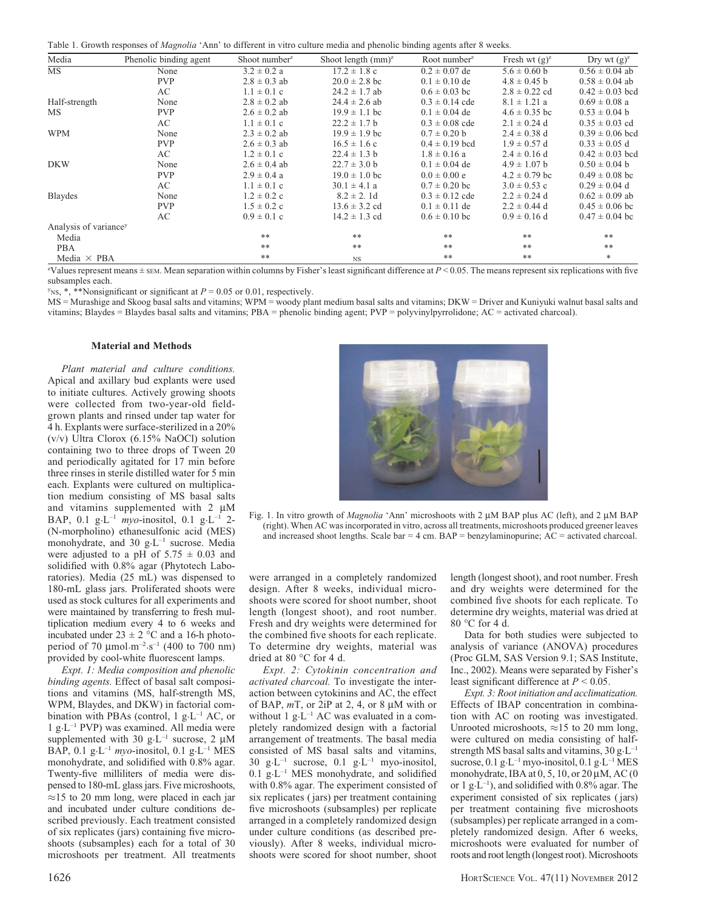Table 1. Growth responses of Magnolia 'Ann' to different in vitro culture media and phenolic binding agents after 8 weeks.

| Media                             | Phenolic binding agent | Shoot number <sup>2</sup> | Shoot length $(mm)^z$                                   | Root number $\mathbb{Z}$ | Fresh wt $(g)^z$  | Dry wt $(g)^z$      |
|-----------------------------------|------------------------|---------------------------|---------------------------------------------------------|--------------------------|-------------------|---------------------|
| $\overline{\text{MS}}$            | None                   | $3.2 \pm 0.2$ a           | $17.2 \pm 1.8$ c                                        | $0.2 \pm 0.07$ de        | $5.6 \pm 0.60$ b  | $0.56 \pm 0.04$ ab  |
|                                   | <b>PVP</b>             | $2.8 \pm 0.3$ ab          | $20.0 \pm 2.8$ bc                                       | $0.1 \pm 0.10$ de        | $4.8 \pm 0.45$ b  | $0.58 \pm 0.04$ ab  |
|                                   | AC                     | $1.1 \pm 0.1$ c           | $24.2 \pm 1.7$ ab                                       | $0.6 \pm 0.03$ bc        | $2.8 \pm 0.22$ cd | $0.42 \pm 0.03$ bcd |
| Half-strength                     | None                   | $2.8 \pm 0.2$ ab          | $24.4 \pm 2.6$ ab                                       | $0.3 \pm 0.14$ cde       | $8.1 \pm 1.21$ a  | $0.69 \pm 0.08$ a   |
| МS                                | <b>PVP</b>             | $2.6 \pm 0.2$ ab          | $19.9 \pm 1.1$ bc                                       | $0.1 \pm 0.04$ de        | $4.6 \pm 0.35$ bc | $0.53 \pm 0.04$ b   |
|                                   | AC                     | $1.1 \pm 0.1$ c           | $22.2 \pm 1.7$ b                                        | $0.3 \pm 0.08$ cde       | $2.1 \pm 0.24$ d  | $0.35 \pm 0.03$ cd  |
| <b>WPM</b>                        | None                   | $2.3 \pm 0.2$ ab          | $19.9 \pm 1.9$ bc                                       | $0.7 \pm 0.20$ b         | $2.4 \pm 0.38$ d  | $0.39 \pm 0.06$ bcd |
|                                   | <b>PVP</b>             | $2.6 \pm 0.3$ ab          | $16.5 \pm 1.6$ c                                        | $0.4 \pm 0.19$ bcd       | $1.9 \pm 0.57$ d  | $0.33 \pm 0.05$ d   |
|                                   | AC                     | $1.2 \pm 0.1$ c           | $22.4 \pm 1.3$ b                                        | $1.8 \pm 0.16$ a         | $2.4 \pm 0.16$ d  | $0.42 \pm 0.03$ bcd |
| <b>DKW</b>                        | None                   | $2.6 \pm 0.4$ ab          | $22.7 \pm 3.0$ b                                        | $0.1 \pm 0.04$ de        | $4.9 \pm 1.07$ b  | $0.50 \pm 0.04$ b   |
|                                   | <b>PVP</b>             | $2.9 \pm 0.4$ a           | $19.0 \pm 1.0$ bc                                       | $0.0 \pm 0.00 e$         | $4.2 \pm 0.79$ bc | $0.49 \pm 0.08$ bc  |
|                                   | AC                     | $1.1 \pm 0.1$ c           | $30.1 \pm 4.1 a$<br>$8.2 \pm 2.1d$<br>$13.6 \pm 3.2$ cd | $0.7 \pm 0.20$ bc        | $3.0 \pm 0.53$ c  | $0.29 \pm 0.04$ d   |
| <b>Blaydes</b>                    | None                   | $1.2 \pm 0.2$ c           |                                                         | $0.3 \pm 0.12$ cde       | $2.2 \pm 0.24$ d  | $0.62 \pm 0.09$ ab  |
|                                   | <b>PVP</b>             | $1.5 \pm 0.2$ c           |                                                         | $0.1 \pm 0.11$ de        | $2.2 \pm 0.44$ d  | $0.45 \pm 0.06$ bc  |
|                                   | AC                     | $0.9 \pm 0.1$ c           | $14.2 \pm 1.3$ cd                                       | $0.6 \pm 0.10$ bc        | $0.9 \pm 0.16$ d  | $0.47 \pm 0.04$ bc  |
| Analysis of variance <sup>y</sup> |                        |                           |                                                         |                          |                   |                     |
| Media                             |                        | **                        | $***$                                                   | $***$                    | **                | **                  |
| PBA                               |                        | $***$                     | $***$                                                   | $***$                    | $***$             | $***$               |
| Media $\times$ PBA                |                        | **                        | <b>NS</b>                                               | $***$                    | $***$             | $*$                 |

 $z$ Values represent means  $\pm$  sem. Mean separation within columns by Fisher's least significant difference at  $P < 0.05$ . The means represent six replications with five subsamples each.

 $y_{\text{NS}, *},$  \*\*Nonsignificant or significant at  $P = 0.05$  or 0.01, respectively.

MS = Murashige and Skoog basal salts and vitamins; WPM = woody plant medium basal salts and vitamins; DKW = Driver and Kuniyuki walnut basal salts and vitamins; Blaydes = Blaydes basal salts and vitamins; PBA = phenolic binding agent; PVP = polyvinylpyrrolidone; AC = activated charcoal).

#### Material and Methods

Plant material and culture conditions. Apical and axillary bud explants were used to initiate cultures. Actively growing shoots were collected from two-year-old fieldgrown plants and rinsed under tap water for 4 h. Explants were surface-sterilized in a 20% (v/v) Ultra Clorox (6.15% NaOCl) solution containing two to three drops of Tween 20 and periodically agitated for 17 min before three rinses in sterile distilled water for 5 min each. Explants were cultured on multiplication medium consisting of MS basal salts and vitamins supplemented with  $2 \mu M$ BAP, 0.1 g·L<sup>-1</sup> myo-inositol, 0.1 g·L<sup>-1</sup> 2-(N-morpholino) ethanesulfonic acid (MES) monohydrate, and 30 g·L–1 sucrose. Media were adjusted to a pH of  $5.75 \pm 0.03$  and solidified with 0.8% agar (Phytotech Laboratories). Media (25 mL) was dispensed to 180-mL glass jars. Proliferated shoots were used as stock cultures for all experiments and were maintained by transferring to fresh multiplication medium every 4 to 6 weeks and incubated under  $23 \pm 2$  °C and a 16-h photoperiod of 70  $\mu$ mol·m<sup>-2</sup>·s<sup>-1</sup> (400 to 700 nm) provided by cool-white fluorescent lamps.

Expt. 1: Media composition and phenolic binding agents. Effect of basal salt compositions and vitamins (MS, half-strength MS, WPM, Blaydes, and DKW) in factorial combination with PBAs (control, 1  $g \text{·L}^{-1}$  AC, or 1 g·L–1 PVP) was examined. All media were supplemented with 30 g·L<sup>-1</sup> sucrose, 2  $\mu$ M BAP, 0.1 g·L<sup>-1</sup> myo-inositol, 0.1 g·L<sup>-1</sup> MES monohydrate, and solidified with 0.8% agar. Twenty-five milliliters of media were dispensed to 180-mL glass jars. Five microshoots,  $\approx$ 15 to 20 mm long, were placed in each jar and incubated under culture conditions described previously. Each treatment consisted of six replicates (jars) containing five microshoots (subsamples) each for a total of 30 microshoots per treatment. All treatments



were arranged in a completely randomized design. After 8 weeks, individual microshoots were scored for shoot number, shoot length (longest shoot), and root number. Fresh and dry weights were determined for the combined five shoots for each replicate. To determine dry weights, material was dried at 80  $^{\circ}$ C for 4 d.

Expt. 2: Cytokinin concentration and activated charcoal. To investigate the interaction between cytokinins and AC, the effect of BAP,  $mT$ , or 2iP at 2, 4, or 8  $\mu$ M with or without 1  $g \cdot L^{-1}$  AC was evaluated in a completely randomized design with a factorial arrangement of treatments. The basal media consisted of MS basal salts and vitamins, 30 g·L<sup>-1</sup> sucrose, 0.1 g·L<sup>-1</sup> myo-inositol,  $0.1$  g $\cdot$ L<sup>-1</sup> MES monohydrate, and solidified with 0.8% agar. The experiment consisted of six replicates ( jars) per treatment containing five microshoots (subsamples) per replicate arranged in a completely randomized design under culture conditions (as described previously). After 8 weeks, individual microshoots were scored for shoot number, shoot

length (longest shoot), and root number. Fresh and dry weights were determined for the combined five shoots for each replicate. To determine dry weights, material was dried at  $80 °C$  for 4 d.

Data for both studies were subjected to analysis of variance (ANOVA) procedures (Proc GLM, SAS Version 9.1; SAS Institute, Inc., 2002). Means were separated by Fisher's least significant difference at  $P < 0.05$ .

Expt. 3: Root initiation and acclimatization. Effects of IBAP concentration in combination with AC on rooting was investigated. Unrooted microshoots,  $\approx$ 15 to 20 mm long, were cultured on media consisting of halfstrength MS basal salts and vitamins,  $30 g \cdot L^{-1}$ sucrose,  $0.1$  g·L<sup>-1</sup> myo-inositol,  $0.1$  g·L<sup>-1</sup> MES monohydrate, IBA at  $0, 5, 10$ , or  $20 \mu M$ , AC  $(0)$ or 1 g $\cdot$ L<sup>-1</sup>), and solidified with 0.8% agar. The experiment consisted of six replicates ( jars) per treatment containing five microshoots (subsamples) per replicate arranged in a completely randomized design. After 6 weeks, microshoots were evaluated for number of roots and root length (longest root). Microshoots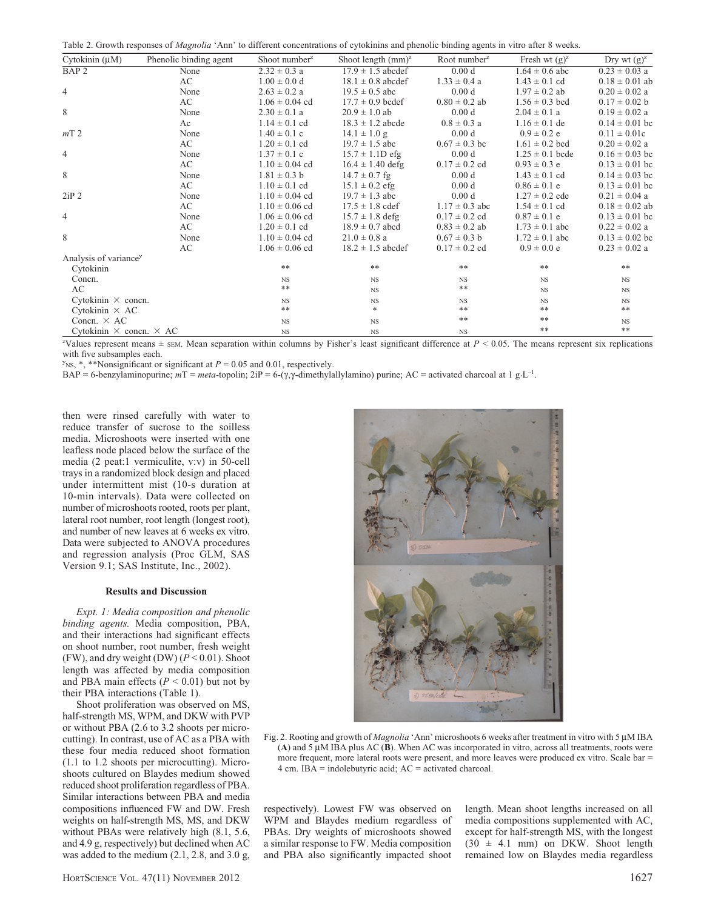|  | Table 2. Growth responses of Magnolia 'Ann' to different concentrations of cytokinins and phenolic binding agents in vitro after 8 weeks. |  |
|--|-------------------------------------------------------------------------------------------------------------------------------------------|--|
|--|-------------------------------------------------------------------------------------------------------------------------------------------|--|

| Cytokinin $(\mu M)$                   | Phenolic binding agent | Shoot number <sup>2</sup> | Shoot length $(mm)^z$ | Root number <sup><math>z</math></sup> | Fresh wt $(g)^z$    | Dry wt $(g)^z$     |
|---------------------------------------|------------------------|---------------------------|-----------------------|---------------------------------------|---------------------|--------------------|
| BAP <sub>2</sub>                      | None                   | $2.32 \pm 0.3$ a          | $17.9 \pm 1.5$ abcdef | 0.00 d                                | $1.64 \pm 0.6$ abc  | $0.23 \pm 0.03$ a  |
|                                       | AC                     | $1.00 \pm 0.0 d$          | $18.1 \pm 0.8$ abcdef | $1.33 \pm 0.4$ a                      | $1.43 \pm 0.1$ cd   | $0.18 \pm 0.01$ ab |
| $\overline{4}$                        | None                   | $2.63 \pm 0.2$ a          | $19.5 \pm 0.5$ abc    | 0.00 <sub>d</sub>                     | $1.97 \pm 0.2$ ab   | $0.20 \pm 0.02$ a  |
|                                       | AC                     | $1.06 \pm 0.04$ cd        | $17.7 \pm 0.9$ bcdef  | $0.80 \pm 0.2$ ab                     | $1.56 \pm 0.3$ bcd  | $0.17 \pm 0.02$ b  |
| 8                                     | None                   | $2.30 \pm 0.1 a$          | $20.9 \pm 1.0$ ab     | 0.00 d                                | $2.04 \pm 0.1$ a    | $0.19 \pm 0.02$ a  |
|                                       | Ac                     | $1.14 \pm 0.1$ cd         | $18.3 \pm 1.2$ abcde  | $0.8 \pm 0.3$ a                       | $1.16 \pm 0.1$ de   | $0.14 \pm 0.01$ bc |
| mT <sub>2</sub>                       | None                   | $1.40 \pm 0.1$ c          | $14.1 \pm 1.0$ g      | 0.00 <sub>d</sub>                     | $0.9 \pm 0.2$ e     | $0.11 \pm 0.01c$   |
|                                       | AC                     | $1.20 \pm 0.1$ cd         | $19.7 \pm 1.5$ abc    | $0.67 \pm 0.3$ bc                     | $1.61 \pm 0.2$ bcd  | $0.20 \pm 0.02$ a  |
| $\overline{4}$                        | None                   | $1.37 \pm 0.1$ c          | $15.7 \pm 1.1D$ efg   | 0.00 d                                | $1.25 \pm 0.1$ bcde | $0.16 \pm 0.03$ bc |
|                                       | AC                     | $1.10 \pm 0.04$ cd        | $16.4 \pm 1.40$ defg  | $0.17 \pm 0.2$ cd                     | $0.93 \pm 0.3$ e    | $0.13 \pm 0.01$ bc |
| 8                                     | None                   | $1.81 \pm 0.3$ b          | $14.7 \pm 0.7$ fg     | 0.00 d                                | $1.43 \pm 0.1$ cd   | $0.14 \pm 0.03$ bc |
|                                       | AC                     | $1.10 \pm 0.1$ cd         | $15.1 \pm 0.2$ efg    | 0.00 <sub>d</sub>                     | $0.86 \pm 0.1$ e    | $0.13 \pm 0.01$ bc |
| 2iP <sub>2</sub>                      | None                   | $1.10 \pm 0.04$ cd        | $19.7 \pm 1.3$ abc    | 0.00 <sub>d</sub>                     | $1.27 \pm 0.2$ cde  | $0.21 \pm 0.04$ a  |
|                                       | AC                     | $1.10 \pm 0.06$ cd        | $17.5 \pm 1.8$ cdef   | $1.17 \pm 0.3$ abc                    | $1.54 \pm 0.1$ cd   | $0.18 \pm 0.02$ ab |
| $\overline{4}$                        | None                   | $1.06 \pm 0.06$ cd        | $15.7 \pm 1.8$ defg   | $0.17 \pm 0.2$ cd                     | $0.87 \pm 0.1$ e    | $0.13 \pm 0.01$ bc |
|                                       | AC                     | $1.20 \pm 0.1$ cd         | $18.9 \pm 0.7$ abcd   | $0.83 \pm 0.2$ ab                     | $1.73 \pm 0.1$ abc  | $0.22 \pm 0.02$ a  |
| 8                                     | None                   | $1.10 \pm 0.04$ cd        | $21.0 \pm 0.8$ a      | $0.67 \pm 0.3$ b                      | $1.72 \pm 0.1$ abc  | $0.13 \pm 0.02$ bc |
|                                       | AC                     | $1.06 \pm 0.06$ cd        | $18.2 \pm 1.5$ abcdef | $0.17 \pm 0.2$ cd                     | $0.9 \pm 0.0 e$     | $0.23 \pm 0.02$ a  |
| Analysis of variance <sup>y</sup>     |                        |                           |                       |                                       |                     |                    |
| Cytokinin                             |                        | $***$                     | $***$                 | **                                    | $***$               | $***$              |
| Concn.                                |                        | <b>NS</b>                 | $_{\rm NS}$           | <b>NS</b>                             | <b>NS</b>           | <b>NS</b>          |
| AC                                    |                        | $**$                      | <b>NS</b>             | $***$                                 | <b>NS</b>           | <b>NS</b>          |
| Cytokinin $\times$ concn.             |                        | $_{\rm NS}$               | $_{\rm NS}$           | <b>NS</b>                             | <b>NS</b>           | $_{\rm NS}$        |
| Cytokinin $\times$ AC                 |                        | $***$                     | $\ast$                | $***$                                 | **                  | $***$              |
| Concn. $\times$ AC                    |                        | <b>NS</b>                 | $_{\rm NS}$           | $***$                                 | **                  | $_{\rm NS}$        |
| Cytokinin $\times$ concn. $\times$ AC |                        | <b>NS</b>                 | $_{\rm NS}$           | <b>NS</b>                             | $***$               | $***$              |

<sup>2</sup>Values represent means  $\pm$  sEM. Mean separation within columns by Fisher's least significant difference at  $P < 0.05$ . The means represent six replications with five subsamples each.

 $y_{\text{NS},*}$ , \*\*Nonsignificant or significant at  $P = 0.05$  and 0.01, respectively.

 $BAP = 6$ -benzylaminopurine;  $mT = meta$ -topolin;  $2iP = 6-(\gamma, \gamma$ -dimethylallylamino) purine; AC = activated charcoal at 1 g·L<sup>-1</sup>.

then were rinsed carefully with water to reduce transfer of sucrose to the soilless media. Microshoots were inserted with one leafless node placed below the surface of the media (2 peat:1 vermiculite, v:v) in 50-cell trays in a randomized block design and placed under intermittent mist (10-s duration at 10-min intervals). Data were collected on number of microshoots rooted, roots per plant, lateral root number, root length (longest root), and number of new leaves at 6 weeks ex vitro. Data were subjected to ANOVA procedures and regression analysis (Proc GLM, SAS Version 9.1; SAS Institute, Inc., 2002).

### Results and Discussion

Expt. 1: Media composition and phenolic binding agents. Media composition, PBA, and their interactions had significant effects on shoot number, root number, fresh weight (FW), and dry weight (DW)  $(P < 0.01)$ . Shoot length was affected by media composition and PBA main effects ( $P < 0.01$ ) but not by their PBA interactions (Table 1).

Shoot proliferation was observed on MS, half-strength MS, WPM, and DKW with PVP or without PBA (2.6 to 3.2 shoots per microcutting). In contrast, use of AC as a PBA with these four media reduced shoot formation (1.1 to 1.2 shoots per microcutting). Microshoots cultured on Blaydes medium showed reduced shoot proliferation regardless of PBA. Similar interactions between PBA and media compositions influenced FW and DW. Fresh weights on half-strength MS, MS, and DKW without PBAs were relatively high (8.1, 5.6, and 4.9 g, respectively) but declined when AC was added to the medium (2.1, 2.8, and 3.0 g,



Fig. 2. Rooting and growth of *Magnolia* 'Ann' microshoots 6 weeks after treatment in vitro with 5 µM IBA (A) and 5  $\mu$ M IBA plus AC (B). When AC was incorporated in vitro, across all treatments, roots were more frequent, more lateral roots were present, and more leaves were produced ex vitro. Scale bar = 4 cm. IBA = indolebutyric acid; AC = activated charcoal.

respectively). Lowest FW was observed on WPM and Blaydes medium regardless of PBAs. Dry weights of microshoots showed a similar response to FW. Media composition and PBA also significantly impacted shoot

length. Mean shoot lengths increased on all media compositions supplemented with AC, except for half-strength MS, with the longest (30 ± 4.1 mm) on DKW. Shoot length remained low on Blaydes media regardless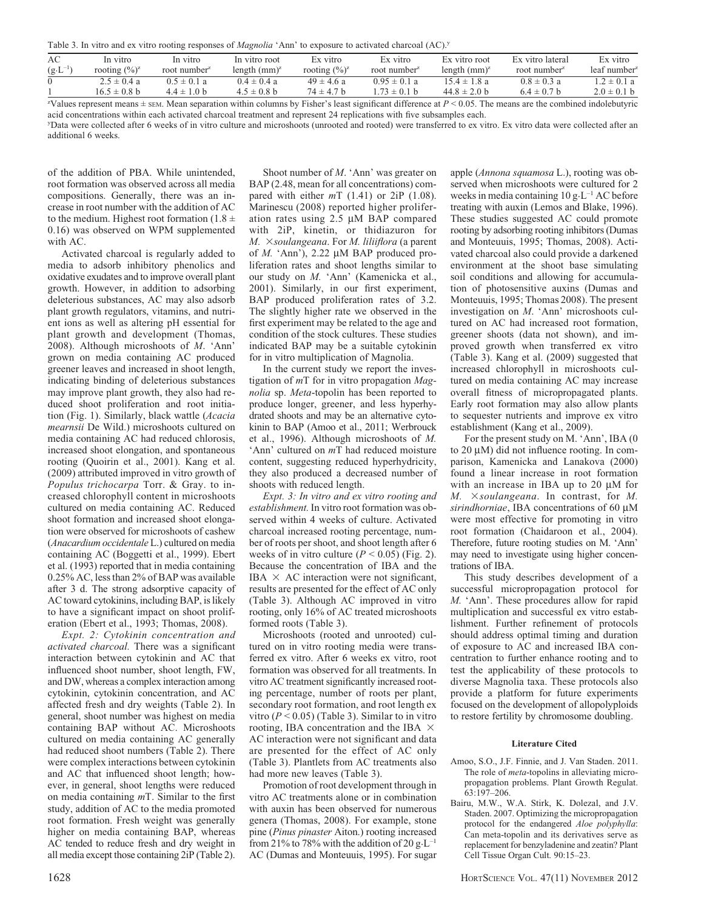| Table 3. In vitro and ex vitro rooting responses of <i>Magnolia</i> 'Ann' to exposure to activated charcoal (AC). <sup>y</sup> |  |  |
|--------------------------------------------------------------------------------------------------------------------------------|--|--|
|--------------------------------------------------------------------------------------------------------------------------------|--|--|

| AC                 | In vitro                  | In vitro              | In vitro root   | Ex vitro                  | Ex vitro                 | Ex vitro root                                                    | Ex vitro lateral         | Ex vitro                                |
|--------------------|---------------------------|-----------------------|-----------------|---------------------------|--------------------------|------------------------------------------------------------------|--------------------------|-----------------------------------------|
| $(g \cdot L^{-1})$ | rooting $(\frac{6}{6})^z$ | root number $\bar{z}$ | length $(mm)^z$ | rooting $(\frac{6}{6})^z$ | root number <sup>2</sup> | length $(mm)^2$                                                  | root number <sup>2</sup> | $leaf$ number <sup><math>z</math></sup> |
|                    | $2.5 \pm 0.4$ a           | $0.5 \pm 0.1 a$       | $0.4 \pm 0.4 a$ | $49 \pm 4.6$ a            | $0.95 \pm 0.1 a$         | $15.4 \pm 1.8$ a                                                 | $0.8 \pm 0.3$ a          | $1.2 \pm 0.1 a$                         |
|                    | $16.5 \pm 0.8$ b          | $4.4 \pm 1.0$ b       | $4.5 \pm 0.8$ b | $74 \pm 4.7$ b            | $.73 \pm 0.1$ b          | $44.8 \pm 2.0$ b                                                 | $6.4 \pm 0.7$ b          | $2.0 \pm 0.1$ b                         |
| $\sim$ T T 1       |                           |                       |                 |                           |                          | $\cdot$ $\sim$ $\cdot$ $\sim$ $\sim$ $\sim$ $\sim$ $\sim$ $\sim$ |                          |                                         |

 $z$ Values represent means  $\pm$  sem. Mean separation within columns by Fisher's least significant difference at  $P < 0.05$ . The means are the combined indolebutyric acid concentrations within each activated charcoal treatment and represent 24 replications with five subsamples each.

y Data were collected after 6 weeks of in vitro culture and microshoots (unrooted and rooted) were transferred to ex vitro. Ex vitro data were collected after an additional 6 weeks.

of the addition of PBA. While unintended, root formation was observed across all media compositions. Generally, there was an increase in root number with the addition of AC to the medium. Highest root formation (1.8  $\pm$ 0.16) was observed on WPM supplemented with AC.

Activated charcoal is regularly added to media to adsorb inhibitory phenolics and oxidative exudates and to improve overall plant growth. However, in addition to adsorbing deleterious substances, AC may also adsorb plant growth regulators, vitamins, and nutrient ions as well as altering pH essential for plant growth and development (Thomas, 2008). Although microshoots of M. 'Ann' grown on media containing AC produced greener leaves and increased in shoot length, indicating binding of deleterious substances may improve plant growth, they also had reduced shoot proliferation and root initiation (Fig. 1). Similarly, black wattle (Acacia mearnsii De Wild.) microshoots cultured on media containing AC had reduced chlorosis, increased shoot elongation, and spontaneous rooting (Quoirin et al., 2001). Kang et al. (2009) attributed improved in vitro growth of Populus trichocarpa Torr. & Gray. to increased chlorophyll content in microshoots cultured on media containing AC. Reduced shoot formation and increased shoot elongation were observed for microshoots of cashew (Anacardium occidentale L.) cultured on media containing AC (Boggetti et al., 1999). Ebert et al. (1993) reported that in media containing 0.25% AC, less than 2% of BAP was available after 3 d. The strong adsorptive capacity of AC toward cytokinins, including BAP, is likely to have a significant impact on shoot proliferation (Ebert et al., 1993; Thomas, 2008).

Expt. 2: Cytokinin concentration and activated charcoal. There was a significant interaction between cytokinin and AC that influenced shoot number, shoot length, FW, and DW, whereas a complex interaction among cytokinin, cytokinin concentration, and AC affected fresh and dry weights (Table 2). In general, shoot number was highest on media containing BAP without AC. Microshoots cultured on media containing AC generally had reduced shoot numbers (Table 2). There were complex interactions between cytokinin and AC that influenced shoot length; however, in general, shoot lengths were reduced on media containing  $mT$ . Similar to the first study, addition of AC to the media promoted root formation. Fresh weight was generally higher on media containing BAP, whereas AC tended to reduce fresh and dry weight in all media except those containing 2iP (Table 2).

Shoot number of M. 'Ann' was greater on BAP (2.48, mean for all concentrations) compared with either  $mT$  (1.41) or 2iP (1.08). Marinescu (2008) reported higher proliferation rates using 2.5 µM BAP compared with 2iP, kinetin, or thidiazuron for  $M. \times \text{soulangeana}$ . For M. liliiflora (a parent of  $M$ . 'Ann'), 2.22  $\mu$ M BAP produced proliferation rates and shoot lengths similar to our study on M. 'Ann' (Kamenicka et al., 2001). Similarly, in our first experiment, BAP produced proliferation rates of 3.2. The slightly higher rate we observed in the first experiment may be related to the age and condition of the stock cultures. These studies indicated BAP may be a suitable cytokinin for in vitro multiplication of Magnolia.

In the current study we report the investigation of  $mT$  for in vitro propagation Magnolia sp. Meta-topolin has been reported to produce longer, greener, and less hyperhydrated shoots and may be an alternative cytokinin to BAP (Amoo et al., 2011; Werbrouck et al., 1996). Although microshoots of M. 'Ann' cultured on mT had reduced moisture content, suggesting reduced hyperhydricity, they also produced a decreased number of shoots with reduced length.

Expt. 3: In vitro and ex vitro rooting and establishment. In vitro root formation was observed within 4 weeks of culture. Activated charcoal increased rooting percentage, number of roots per shoot, and shoot length after 6 weeks of in vitro culture ( $P < 0.05$ ) (Fig. 2). Because the concentration of IBA and the IBA  $\times$  AC interaction were not significant, results are presented for the effect of AC only (Table 3). Although AC improved in vitro rooting, only 16% of AC treated microshoots formed roots (Table 3).

Microshoots (rooted and unrooted) cultured on in vitro rooting media were transferred ex vitro. After 6 weeks ex vitro, root formation was observed for all treatments. In vitro AC treatment significantly increased rooting percentage, number of roots per plant, secondary root formation, and root length ex vitro ( $P < 0.05$ ) (Table 3). Similar to in vitro rooting, IBA concentration and the IBA  $\times$ AC interaction were not significant and data are presented for the effect of AC only (Table 3). Plantlets from AC treatments also had more new leaves (Table 3).

Promotion of root development through in vitro AC treatments alone or in combination with auxin has been observed for numerous genera (Thomas, 2008). For example, stone pine (Pinus pinaster Aiton.) rooting increased from 21% to 78% with the addition of 20  $g \text{·L}^{-1}$ AC (Dumas and Monteuuis, 1995). For sugar

apple (Annona squamosa L.), rooting was observed when microshoots were cultured for 2 weeks in media containing  $10 \text{ g} \cdot \text{L}^{-1} \text{ AC}$  before treating with auxin (Lemos and Blake, 1996). These studies suggested AC could promote rooting by adsorbing rooting inhibitors (Dumas and Monteuuis, 1995; Thomas, 2008). Activated charcoal also could provide a darkened environment at the shoot base simulating soil conditions and allowing for accumulation of photosensitive auxins (Dumas and Monteuuis, 1995; Thomas 2008). The present investigation on M. 'Ann' microshoots cultured on AC had increased root formation, greener shoots (data not shown), and improved growth when transferred ex vitro (Table 3). Kang et al. (2009) suggested that increased chlorophyll in microshoots cultured on media containing AC may increase overall fitness of micropropagated plants. Early root formation may also allow plants to sequester nutrients and improve ex vitro establishment (Kang et al., 2009).

For the present study on M. 'Ann', IBA (0 to  $20 \mu M$ ) did not influence rooting. In comparison, Kamenicka and Lanakova (2000) found a linear increase in root formation with an increase in IBA up to  $20 \mu M$  for  $M.$   $\times$  soulangeana. In contrast, for M. sirindhorniae, IBA concentrations of  $60 \mu M$ were most effective for promoting in vitro root formation (Chaidaroon et al., 2004). Therefore, future rooting studies on M. 'Ann' may need to investigate using higher concentrations of IBA.

This study describes development of a successful micropropagation protocol for M. 'Ann'. These procedures allow for rapid multiplication and successful ex vitro establishment. Further refinement of protocols should address optimal timing and duration of exposure to AC and increased IBA concentration to further enhance rooting and to test the applicability of these protocols to diverse Magnolia taxa. These protocols also provide a platform for future experiments focused on the development of allopolyploids to restore fertility by chromosome doubling.

#### Literature Cited

- Amoo, S.O., J.F. Finnie, and J. Van Staden. 2011. The role of *meta*-topolins in alleviating micropropagation problems. Plant Growth Regulat. 63:197–206.
- Bairu, M.W., W.A. Stirk, K. Dolezal, and J.V. Staden. 2007. Optimizing the micropropagation protocol for the endangered Aloe polyphylla: Can meta-topolin and its derivatives serve as replacement for benzyladenine and zeatin? Plant Cell Tissue Organ Cult. 90:15–23.